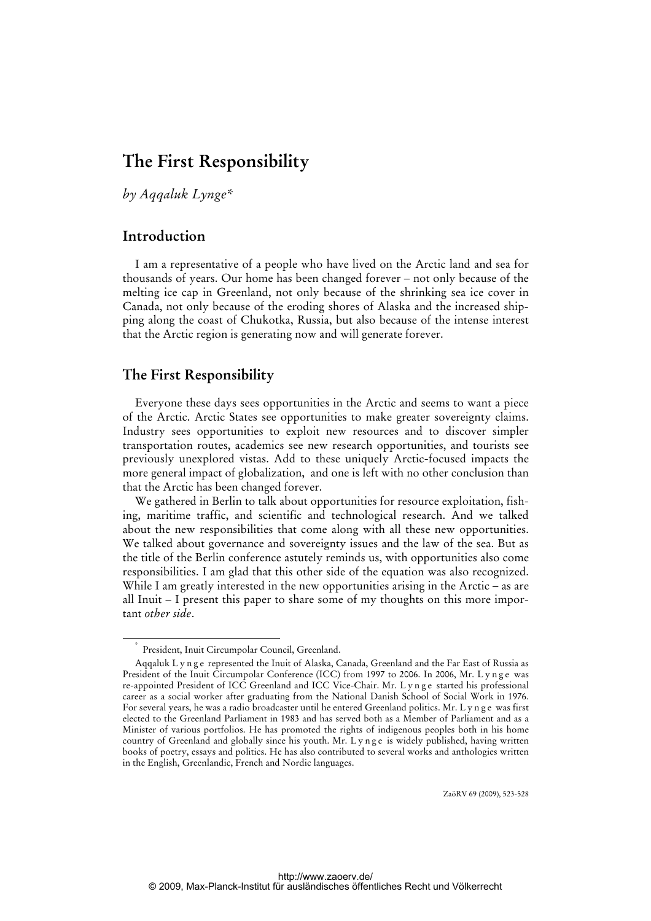# **The First Responsibility**

*by Aqqaluk Lynge\** 

# **Introduction**

I am a representative of a people who have lived on the Arctic land and sea for thousands of years. Our home has been changed forever – not only because of the melting ice cap in Greenland, not only because of the shrinking sea ice cover in Canada, not only because of the eroding shores of Alaska and the increased shipping along the coast of Chukotka, Russia, but also because of the intense interest that the Arctic region is generating now and will generate forever.

## **The First Responsibility**

Everyone these days sees opportunities in the Arctic and seems to want a piece of the Arctic. Arctic States see opportunities to make greater sovereignty claims. Industry sees opportunities to exploit new resources and to discover simpler transportation routes, academics see new research opportunities, and tourists see previously unexplored vistas. Add to these uniquely Arctic-focused impacts the more general impact of globalization, and one is left with no other conclusion than that the Arctic has been changed forever.

We gathered in Berlin to talk about opportunities for resource exploitation, fishing, maritime traffic, and scientific and technological research. And we talked about the new responsibilities that come along with all these new opportunities. We talked about governance and sovereignty issues and the law of the sea. But as the title of the Berlin conference astutely reminds us, with opportunities also come responsibilities. I am glad that this other side of the equation was also recognized. While I am greatly interested in the new opportunities arising in the Arctic – as are all Inuit – I present this paper to share some of my thoughts on this more important *other side*.

ZaöRV 69 (2009), 523-528

 <sup>\*</sup> President, Inuit Circumpolar Council, Greenland.

Aqqaluk L y n g e represented the Inuit of Alaska, Canada, Greenland and the Far East of Russia as President of the Inuit Circumpolar Conference (ICC) from 1997 to 2006. In 2006, Mr. L y n g e was re-appointed President of ICC Greenland and ICC Vice-Chair. Mr. Lynge started his professional career as a social worker after graduating from the National Danish School of Social Work in 1976. For several years, he was a radio broadcaster until he entered Greenland politics. Mr. L y n g e was first elected to the Greenland Parliament in 1983 and has served both as a Member of Parliament and as a Minister of various portfolios. He has promoted the rights of indigenous peoples both in his home country of Greenland and globally since his youth. Mr. Lynge is widely published, having written books of poetry, essays and politics. He has also contributed to several works and anthologies written in the English, Greenlandic, French and Nordic languages.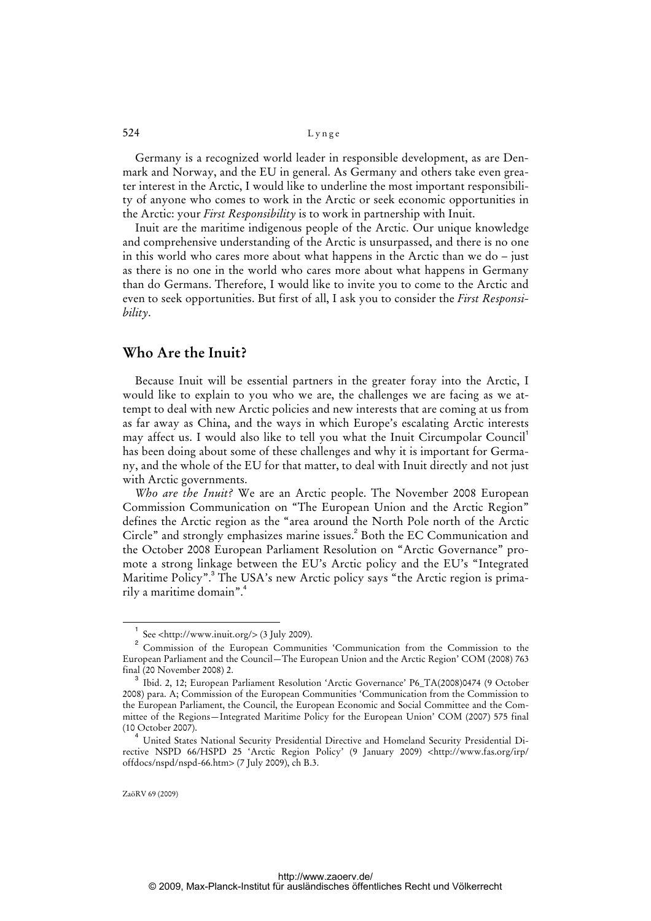### 524 Lynge

Germany is a recognized world leader in responsible development, as are Denmark and Norway, and the EU in general. As Germany and others take even greater interest in the Arctic, I would like to underline the most important responsibility of anyone who comes to work in the Arctic or seek economic opportunities in the Arctic: your *First Responsibility* is to work in partnership with Inuit.

Inuit are the maritime indigenous people of the Arctic. Our unique knowledge and comprehensive understanding of the Arctic is unsurpassed, and there is no one in this world who cares more about what happens in the Arctic than we do – just as there is no one in the world who cares more about what happens in Germany than do Germans. Therefore, I would like to invite you to come to the Arctic and even to seek opportunities. But first of all, I ask you to consider the *First Responsibility*.

## **Who Are the Inuit?**

Because Inuit will be essential partners in the greater foray into the Arctic, I would like to explain to you who we are, the challenges we are facing as we attempt to deal with new Arctic policies and new interests that are coming at us from as far away as China, and the ways in which Europe's escalating Arctic interests may affect us. I would also like to tell you what the Inuit Circumpolar Council<sup>1</sup> has been doing about some of these challenges and why it is important for Germany, and the whole of the EU for that matter, to deal with Inuit directly and not just with Arctic governments.

*Who are the Inuit?* We are an Arctic people. The November 2008 European Commission Communication on "The European Union and the Arctic Region" defines the Arctic region as the "area around the North Pole north of the Arctic Circle" and strongly emphasizes marine issues.<sup>2</sup> Both the EC Communication and the October 2008 European Parliament Resolution on "Arctic Governance" promote a strong linkage between the EU's Arctic policy and the EU's "Integrated Maritime Policy".<sup>3</sup> The USA's new Arctic policy says "the Arctic region is primarily a maritime domain".<sup>4</sup>

 $\overline{\phantom{0}}$ <sub>1</sub> See <[http://www.inuit.org/>](http://www.inuit.org/) (3 July 2009).

<sup>2</sup> Commission of the European Communities 'Communication from the Commission to the European Parliament and the Council—The European Union and the Arctic Region' COM (2008) 763 final (20 November 2008) 2.

<sup>3</sup> Ibid. 2, 12; European Parliament Resolution 'Arctic Governance' P6\_TA(2008)0474 (9 October 2008) para. A; Commission of the European Communities 'Communication from the Commission to the European Parliament, the Council, the European Economic and Social Committee and the Committee of the Regions—Integrated Maritime Policy for the European Union' COM (2007) 575 final (10 October 2007).

<sup>4</sup> United States National Security Presidential Directive and Homeland Security Presidential Directive NSPD 66/HSPD 25 'Arctic Region Policy' (9 January 2009) [<http://www.fas.org/irp/](http://www.fas.org/irp/) offdocs/nspd/nspd-66.htm> (7 July 2009), ch B.3.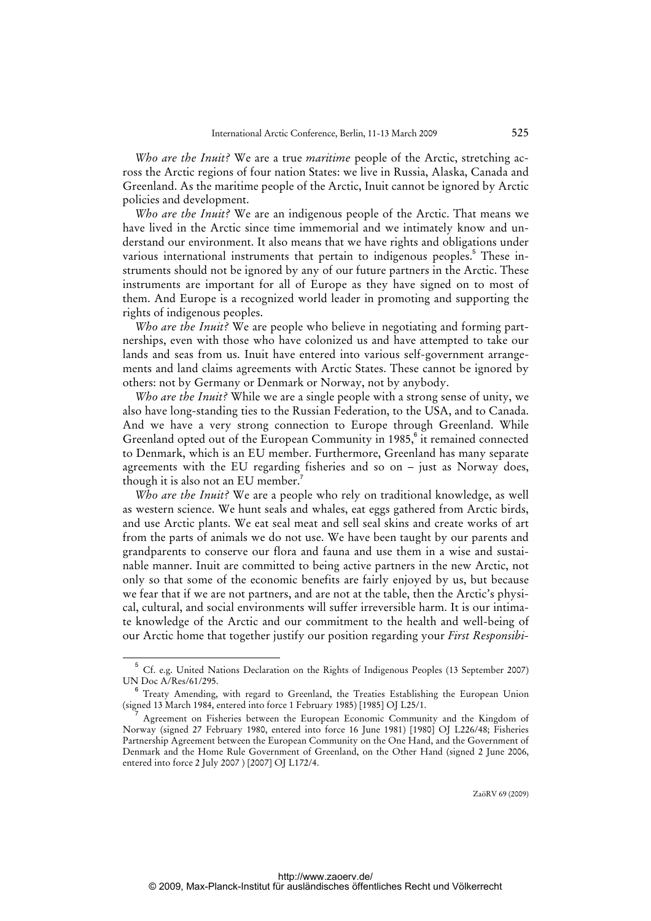*Who are the Inuit?* We are a true *maritime* people of the Arctic, stretching across the Arctic regions of four nation States: we live in Russia, Alaska, Canada and Greenland. As the maritime people of the Arctic, Inuit cannot be ignored by Arctic policies and development.

*Who are the Inuit?* We are an indigenous people of the Arctic. That means we have lived in the Arctic since time immemorial and we intimately know and understand our environment. It also means that we have rights and obligations under various international instruments that pertain to indigenous peoples.<sup>5</sup> These instruments should not be ignored by any of our future partners in the Arctic. These instruments are important for all of Europe as they have signed on to most of them. And Europe is a recognized world leader in promoting and supporting the rights of indigenous peoples.

*Who are the Inuit?* We are people who believe in negotiating and forming partnerships, even with those who have colonized us and have attempted to take our lands and seas from us. Inuit have entered into various self-government arrangements and land claims agreements with Arctic States. These cannot be ignored by others: not by Germany or Denmark or Norway, not by anybody.

*Who are the Inuit?* While we are a single people with a strong sense of unity, we also have long-standing ties to the Russian Federation, to the USA, and to Canada. And we have a very strong connection to Europe through Greenland. While Greenland opted out of the European Community in 1985,<sup>6</sup> it remained connected to Denmark, which is an EU member. Furthermore, Greenland has many separate agreements with the EU regarding fisheries and so on – just as Norway does, though it is also not an EU member.

*Who are the Inuit?* We are a people who rely on traditional knowledge, as well as western science. We hunt seals and whales, eat eggs gathered from Arctic birds, and use Arctic plants. We eat seal meat and sell seal skins and create works of art from the parts of animals we do not use. We have been taught by our parents and grandparents to conserve our flora and fauna and use them in a wise and sustainable manner. Inuit are committed to being active partners in the new Arctic, not only so that some of the economic benefits are fairly enjoyed by us, but because we fear that if we are not partners, and are not at the table, then the Arctic's physical, cultural, and social environments will suffer irreversible harm. It is our intimate knowledge of the Arctic and our commitment to the health and well-being of our Arctic home that together justify our position regarding your *First Responsibi-*

ZaöRV 69 (2009)

<sup>5</sup> Cf. e.g. United Nations Declaration on the Rights of Indigenous Peoples (13 September 2007) UN Doc A/Res/61/295.

<sup>&</sup>lt;sup>6</sup> Treaty Amending, with regard to Greenland, the Treaties Establishing the European Union (signed 13 March 1984, entered into force 1 February 1985) [1985] OJ L25/1. 7

Agreement on Fisheries between the European Economic Community and the Kingdom of Norway (signed 27 February 1980, entered into force 16 June 1981) [1980] OJ L226/48; Fisheries Partnership Agreement between the European Community on the One Hand, and the Government of Denmark and the Home Rule Government of Greenland, on the Other Hand (signed 2 June 2006, entered into force 2 July 2007 ) [2007] OJ L172/4.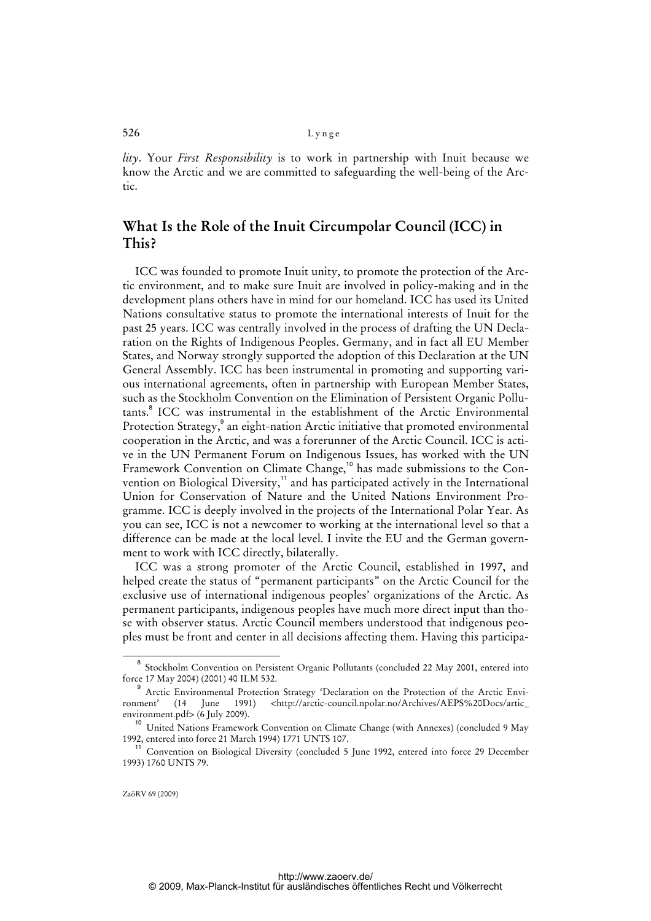## 526 Lynge

*lity*. Your *First Responsibility* is to work in partnership with Inuit because we know the Arctic and we are committed to safeguarding the well-being of the Arctic.

# **What Is the Role of the Inuit Circumpolar Council (ICC) in This?**

ICC was founded to promote Inuit unity, to promote the protection of the Arctic environment, and to make sure Inuit are involved in policy-making and in the development plans others have in mind for our homeland. ICC has used its United Nations consultative status to promote the international interests of Inuit for the past 25 years. ICC was centrally involved in the process of drafting the UN Declaration on the Rights of Indigenous Peoples. Germany, and in fact all EU Member States, and Norway strongly supported the adoption of this Declaration at the UN General Assembly. ICC has been instrumental in promoting and supporting various international agreements, often in partnership with European Member States, such as the Stockholm Convention on the Elimination of Persistent Organic Pollutants.<sup>8</sup> ICC was instrumental in the establishment of the Arctic Environmental Protection Strategy,<sup>9</sup> an eight-nation Arctic initiative that promoted environmental cooperation in the Arctic, and was a forerunner of the Arctic Council. ICC is active in the UN Permanent Forum on Indigenous Issues, has worked with the UN Framework Convention on Climate Change,<sup>10</sup> has made submissions to the Convention on Biological Diversity,<sup>11</sup> and has participated actively in the International Union for Conservation of Nature and the United Nations Environment Programme. ICC is deeply involved in the projects of the International Polar Year. As you can see, ICC is not a newcomer to working at the international level so that a difference can be made at the local level. I invite the EU and the German government to work with ICC directly, bilaterally.

ICC was a strong promoter of the Arctic Council, established in 1997, and helped create the status of "permanent participants" on the Arctic Council for the exclusive use of international indigenous peoples' organizations of the Arctic. As permanent participants, indigenous peoples have much more direct input than those with observer status. Arctic Council members understood that indigenous peoples must be front and center in all decisions affecting them. Having this participa-

 $\overline{a}$ <sup>8</sup> Stockholm Convention on Persistent Organic Pollutants (concluded 22 May 2001, entered into force 17 May 2004) (2001) 40 ILM 532.

<sup>9</sup> Arctic Environmental Protection Strategy 'Declaration on the Protection of the Arctic Envi-<br>
1991) <http://arctic-council.npolar.no/Archives/AEPS%20Docs/artic ronment' (14 June 1991) <[http://arctic-council.npolar.no/Archives/AEPS%20Docs/artic\\_](http://arctic-council.npolar.no/Archives/AEPS%20Docs/artic_) environment.pdf> (6 July 2009).

<sup>&</sup>lt;sup>10</sup> United Nations Framework Convention on Climate Change (with Annexes) (concluded 9 May 1992, entered into force 21 March 1994) 1771 UNTS 107.

<sup>11</sup> Convention on Biological Diversity (concluded 5 June 1992, entered into force 29 December 1993) 1760 UNTS 79.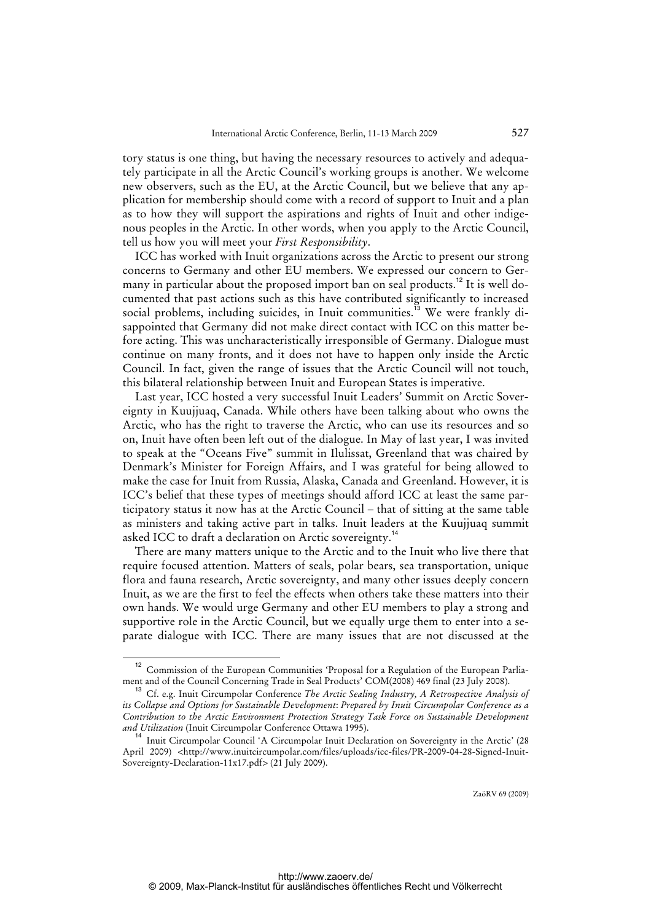tory status is one thing, but having the necessary resources to actively and adequately participate in all the Arctic Council's working groups is another. We welcome new observers, such as the EU, at the Arctic Council, but we believe that any application for membership should come with a record of support to Inuit and a plan as to how they will support the aspirations and rights of Inuit and other indigenous peoples in the Arctic. In other words, when you apply to the Arctic Council, tell us how you will meet your *First Responsibility*.

ICC has worked with Inuit organizations across the Arctic to present our strong concerns to Germany and other EU members. We expressed our concern to Germany in particular about the proposed import ban on seal products.<sup>12</sup> It is well documented that past actions such as this have contributed significantly to increased social problems, including suicides, in Inuit communities.<sup>13</sup> We were frankly disappointed that Germany did not make direct contact with ICC on this matter before acting. This was uncharacteristically irresponsible of Germany. Dialogue must continue on many fronts, and it does not have to happen only inside the Arctic Council. In fact, given the range of issues that the Arctic Council will not touch, this bilateral relationship between Inuit and European States is imperative.

Last year, ICC hosted a very successful Inuit Leaders' Summit on Arctic Sovereignty in Kuujjuaq, Canada. While others have been talking about who owns the Arctic, who has the right to traverse the Arctic, who can use its resources and so on, Inuit have often been left out of the dialogue. In May of last year, I was invited to speak at the "Oceans Five" summit in Ilulissat, Greenland that was chaired by Denmark's Minister for Foreign Affairs, and I was grateful for being allowed to make the case for Inuit from Russia, Alaska, Canada and Greenland. However, it is ICC's belief that these types of meetings should afford ICC at least the same participatory status it now has at the Arctic Council – that of sitting at the same table as ministers and taking active part in talks. Inuit leaders at the Kuujjuaq summit asked ICC to draft a declaration on Arctic sovereignty.<sup>14</sup>

There are many matters unique to the Arctic and to the Inuit who live there that require focused attention. Matters of seals, polar bears, sea transportation, unique flora and fauna research, Arctic sovereignty, and many other issues deeply concern Inuit, as we are the first to feel the effects when others take these matters into their own hands. We would urge Germany and other EU members to play a strong and supportive role in the Arctic Council, but we equally urge them to enter into a separate dialogue with ICC. There are many issues that are not discussed at the

Commission of the European Communities 'Proposal for a Regulation of the European Parliament and of the Council Concerning Trade in Seal Products' COM(2008) 469 final (23 July 2008).

<sup>13</sup> Cf. e.g. Inuit Circumpolar Conference *The Arctic Sealing Industry, A Retrospective Analysis of its Collapse and Options for Sustainable Development*: *Prepared by Inuit Circumpolar Conference as a Contribution to the Arctic Environment Protection Strategy Task Force on Sustainable Development and Utilization* (Inuit Circumpolar Conference Ottawa 1995).

<sup>&</sup>lt;sup>14</sup> Inuit Circumpolar Council 'A Circumpolar Inuit Declaration on Sovereignty in the Arctic' (28 April 2009) <<http://www.inuitcircumpolar.com/files/uploads/icc-files/PR-2009-04-28-Signed-Inuit->Sovereignty-Declaration-11x17.pdf> (21 July 2009).